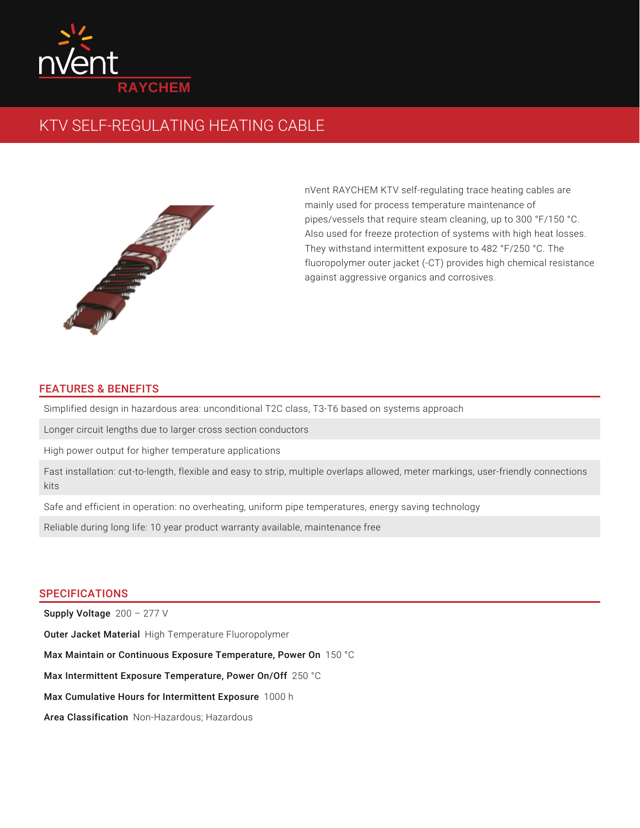

# KTV SELF-REGULATING HEATING CABLE



nVent RAYCHEM KTV self-regulating trace heating cables are mainly used for process temperature maintenance of pipes/vessels that require steam cleaning, up to 300 °F/150 °C. Also used for freeze protection of systems with high heat losses. They withstand intermittent exposure to 482 °F/250 °C. The fluoropolymer outer jacket (-CT) provides high chemical resistance against aggressive organics and corrosives.

## FEATURES & BENEFITS

Simplified design in hazardous area: unconditional T2C class, T3-T6 based on systems approach

Longer circuit lengths due to larger cross section conductors

High power output for higher temperature applications

Fast installation: cut-to-length, flexible and easy to strip, multiple overlaps allowed, meter markings, user-friendly connections kits

Safe and efficient in operation: no overheating, uniform pipe temperatures, energy saving technology

Reliable during long life: 10 year product warranty available, maintenance free

### **SPECIFICATIONS**

 ${\sf Supply~Voltage}$   $\,$   $200$  –  $\,277$   $\lor$ Outer Jacket Material High Temperature Fluoropolymer Max Maintain or Continuous Exposure Temperature, Power On  $\,$  150  $\,^{\circ}\mathrm{C}$ Max Intermittent Exposure Temperature, Power On/Off 250 °C Max Cumulative Hours for Intermittent Exposure 1000 h Area Classification Non-Hazardous; Hazardous